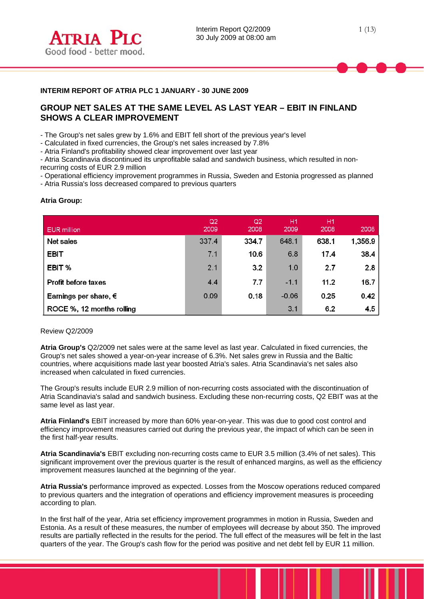

# **INTERIM REPORT OF ATRIA PLC 1 JANUARY - 30 JUNE 2009**

# **GROUP NET SALES AT THE SAME LEVEL AS LAST YEAR – EBIT IN FINLAND SHOWS A CLEAR IMPROVEMENT**

- The Group's net sales grew by 1.6% and EBIT fell short of the previous year's level

- Calculated in fixed currencies, the Group's net sales increased by 7.8%

- Atria Finland's profitability showed clear improvement over last year

- Atria Scandinavia discontinued its unprofitable salad and sandwich business, which resulted in nonrecurring costs of EUR 2.9 million

- Operational efficiency improvement programmes in Russia, Sweden and Estonia progressed as planned

- Atria Russia's loss decreased compared to previous quarters

## **Atria Group:**

 $\overline{a}$ 

| <b>EUR</b> million             | Q2<br>2009 | Q2<br>2008 | H <sub>1</sub><br>2009 | H <sub>1</sub><br>2008 | 2008    |
|--------------------------------|------------|------------|------------------------|------------------------|---------|
| Net sales                      | 337.4      | 334.7      | 648.1                  | 638.1                  | 1,356.9 |
| <b>EBIT</b>                    | 7.1        | 10.6       | 6.8                    | 17.4                   | 38.4    |
| EBIT%                          | 2.1        | 3.2        | 1.0                    | 2.7                    | 2.8     |
| <b>Profit before taxes</b>     | 4.4        | 7.7        | $-1.1$                 | 11.2                   | 16.7    |
| Earnings per share, $\epsilon$ | 0.09       | 0.18       | $-0.06$                | 0.25                   | 0.42    |
| ROCE %, 12 months rolling      |            |            | 3.1                    | 6.2                    | 4.5     |

## Review Q2/2009

**Atria Group's** Q2/2009 net sales were at the same level as last year. Calculated in fixed currencies, the Group's net sales showed a year-on-year increase of 6.3%. Net sales grew in Russia and the Baltic countries, where acquisitions made last year boosted Atria's sales. Atria Scandinavia's net sales also increased when calculated in fixed currencies.

The Group's results include EUR 2.9 million of non-recurring costs associated with the discontinuation of Atria Scandinavia's salad and sandwich business. Excluding these non-recurring costs, Q2 EBIT was at the same level as last year.

**Atria Finland's** EBIT increased by more than 60% year-on-year. This was due to good cost control and efficiency improvement measures carried out during the previous year, the impact of which can be seen in the first half-year results.

**Atria Scandinavia's** EBIT excluding non-recurring costs came to EUR 3.5 million (3.4% of net sales). This significant improvement over the previous quarter is the result of enhanced margins, as well as the efficiency improvement measures launched at the beginning of the year.

**Atria Russia's** performance improved as expected. Losses from the Moscow operations reduced compared to previous quarters and the integration of operations and efficiency improvement measures is proceeding according to plan.

In the first half of the year, Atria set efficiency improvement programmes in motion in Russia, Sweden and Estonia. As a result of these measures, the number of employees will decrease by about 350. The improved results are partially reflected in the results for the period. The full effect of the measures will be felt in the last quarters of the year. The Group's cash flow for the period was positive and net debt fell by EUR 11 million.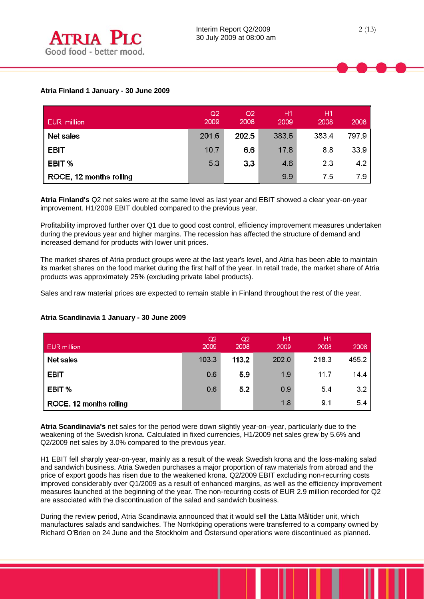| EUR million             | Q2<br>2009 | Q2<br>2008 | Η1<br>2009 | Η1<br>2008 | 2008  |
|-------------------------|------------|------------|------------|------------|-------|
| Net sales               | 201.6      | 202.5      | 383.6      | 383.4      | 797.9 |
| <b>EBIT</b>             | 10.7       | 6.6        | 17.8       | 8.8        | 33.9  |
| EBIT %                  | 5.3        | 3.3        | 46         | 2.3        | 4.2   |
| ROCE, 12 months rolling |            |            | 9.9        | 7.5        | 7.9   |

**Atria Finland's** Q2 net sales were at the same level as last year and EBIT showed a clear year-on-year improvement. H1/2009 EBIT doubled compared to the previous year.

Profitability improved further over Q1 due to good cost control, efficiency improvement measures undertaken during the previous year and higher margins. The recession has affected the structure of demand and increased demand for products with lower unit prices.

The market shares of Atria product groups were at the last year's level, and Atria has been able to maintain its market shares on the food market during the first half of the year. In retail trade, the market share of Atria products was approximately 25% (excluding private label products).

Sales and raw material prices are expected to remain stable in Finland throughout the rest of the year.

#### $Q2$  $Q<sub>2</sub>$  $H1$  $H1$ **EUR** million 2009 2008 2009 2008 2008 Net sales 218.3 455.2 103.3 113.2  $202.0$ **EBIT** 0.6 5.9 1.9  $11.7$ 14.4 EBIT % 0.6  $5.2$  $0.9$  $5.4$  $3.2$  $1.8$  $9.1$  $5.4$ ROCE, 12 months rolling

# **Atria Scandinavia 1 January - 30 June 2009**

**Atria Scandinavia's** net sales for the period were down slightly year-on–year, particularly due to the weakening of the Swedish krona. Calculated in fixed currencies, H1/2009 net sales grew by 5.6% and Q2/2009 net sales by 3.0% compared to the previous year.

H1 EBIT fell sharply year-on-year, mainly as a result of the weak Swedish krona and the loss-making salad and sandwich business. Atria Sweden purchases a major proportion of raw materials from abroad and the price of export goods has risen due to the weakened krona. Q2/2009 EBIT excluding non-recurring costs improved considerably over Q1/2009 as a result of enhanced margins, as well as the efficiency improvement measures launched at the beginning of the year. The non-recurring costs of EUR 2.9 million recorded for Q2 are associated with the discontinuation of the salad and sandwich business.

During the review period, Atria Scandinavia announced that it would sell the Lätta Måltider unit, which manufactures salads and sandwiches. The Norrköping operations were transferred to a company owned by Richard O'Brien on 24 June and the Stockholm and Östersund operations were discontinued as planned.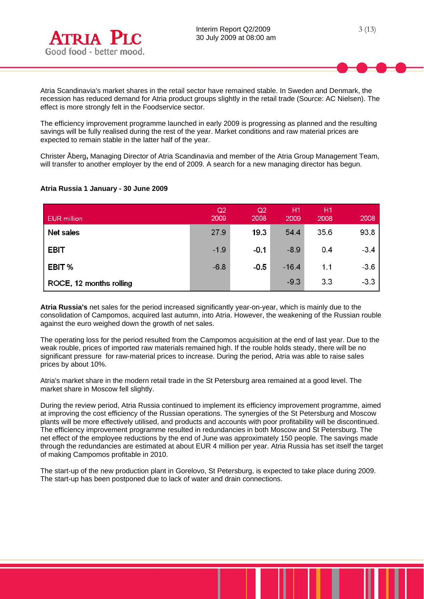

Atria Scandinavia's market shares in the retail sector have remained stable. In Sweden and Denmark, the recession has reduced demand for Atria product groups slightly in the retail trade (Source: AC Nielsen). The effect is more strongly felt in the Foodservice sector.

The efficiency improvement programme launched in early 2009 is progressing as planned and the resulting savings will be fully realised during the rest of the year. Market conditions and raw material prices are expected to remain stable in the latter half of the year.

Christer Åberg**,** Managing Director of Atria Scandinavia and member of the Atria Group Management Team, will transfer to another employer by the end of 2009. A search for a new managing director has begun.

| <b>EUR</b> million      | Q2<br>2009 | Q <sub>2</sub><br>2008 | H1<br>2009 | H <sub>1</sub><br>2008 | 2008   |
|-------------------------|------------|------------------------|------------|------------------------|--------|
| Net sales               | 27.9       | 19.3                   | 544        | 35.6                   | 93.8   |
| <b>EBIT</b>             | $-1.9$     | $-0.1$                 | $-8.9$     | 0.4                    | $-3.4$ |
| EBIT%                   | $-6.8$     | $-0.5$                 | $-16.4$    | 1.1                    | $-3.6$ |
| ROCE, 12 months rolling |            |                        | $-9.3$     | 3.3                    | $-3.3$ |

## **Atria Russia 1 January - 30 June 2009**

**Atria Russia's** net sales for the period increased significantly year-on-year, which is mainly due to the consolidation of Campomos, acquired last autumn, into Atria. However, the weakening of the Russian rouble against the euro weighed down the growth of net sales.

The operating loss for the period resulted from the Campomos acquisition at the end of last year. Due to the weak rouble, prices of imported raw materials remained high. If the rouble holds steady, there will be no significant pressure for raw-material prices to increase. During the period, Atria was able to raise sales prices by about 10%.

Atria's market share in the modern retail trade in the St Petersburg area remained at a good level. The market share in Moscow fell slightly.

During the review period, Atria Russia continued to implement its efficiency improvement programme, aimed at improving the cost efficiency of the Russian operations. The synergies of the St Petersburg and Moscow plants will be more effectively utilised, and products and accounts with poor profitability will be discontinued. The efficiency improvement programme resulted in redundancies in both Moscow and St Petersburg. The net effect of the employee reductions by the end of June was approximately 150 people. The savings made through the redundancies are estimated at about EUR 4 million per year. Atria Russia has set itself the target of making Campomos profitable in 2010.

The start-up of the new production plant in Gorelovo, St Petersburg, is expected to take place during 2009. The start-up has been postponed due to lack of water and drain connections.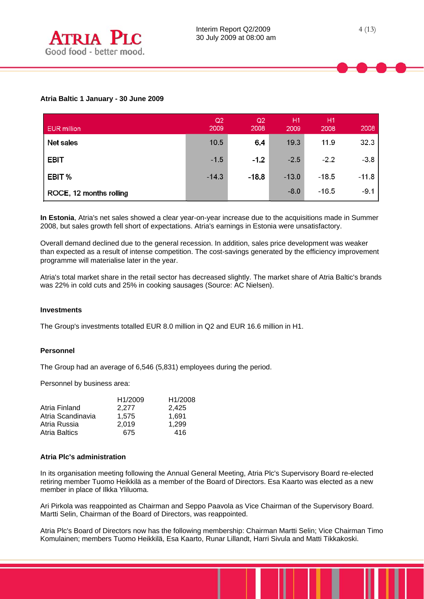| <b>EUR</b> million      | Q <sub>2</sub><br>2009 | Q2<br>2008 | H1<br>2009 | Ή1,<br>2008 | 2008    |
|-------------------------|------------------------|------------|------------|-------------|---------|
| Net sales               | 10.5                   | 6.4        | 19.3       | 11.9        | 32.3    |
| <b>EBIT</b>             | $-1.5$                 | $-1.2$     | $-2.5$     | $-2.2$      | $-3.8$  |
| EBIT %                  | $-14.3$                | $-18.8$    | $-13.0$    | $-18.5$     | $-11.8$ |
| ROCE, 12 months rolling |                        |            | $-8.0$     | $-16.5$     | $-9.1$  |

**In Estonia**, Atria's net sales showed a clear year-on-year increase due to the acquisitions made in Summer 2008, but sales growth fell short of expectations. Atria's earnings in Estonia were unsatisfactory.

Overall demand declined due to the general recession. In addition, sales price development was weaker than expected as a result of intense competition. The cost-savings generated by the efficiency improvement programme will materialise later in the year.

Atria's total market share in the retail sector has decreased slightly. The market share of Atria Baltic's brands was 22% in cold cuts and 25% in cooking sausages (Source: AC Nielsen).

## **Investments**

The Group's investments totalled EUR 8.0 million in Q2 and EUR 16.6 million in H1.

## **Personnel**

The Group had an average of 6,546 (5,831) employees during the period.

Personnel by business area:

| H <sub>1</sub> /2009 | H1/2008 |
|----------------------|---------|
| 2.277                | 2,425   |
| 1.575                | 1.691   |
| 2.019                | 1.299   |
| 675                  | 416     |
|                      |         |

## **Atria Plc's administration**

In its organisation meeting following the Annual General Meeting, Atria Plc's Supervisory Board re-elected retiring member Tuomo Heikkilä as a member of the Board of Directors. Esa Kaarto was elected as a new member in place of Ilkka Yliluoma.

Ari Pirkola was reappointed as Chairman and Seppo Paavola as Vice Chairman of the Supervisory Board. Martti Selin, Chairman of the Board of Directors, was reappointed.

Atria Plc's Board of Directors now has the following membership: Chairman Martti Selin; Vice Chairman Timo Komulainen; members Tuomo Heikkilä, Esa Kaarto, Runar Lillandt, Harri Sivula and Matti Tikkakoski.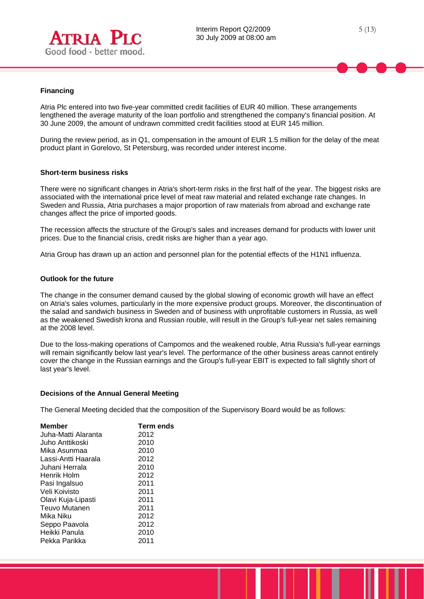

## **Financing**

 $\overline{a}$ 

Atria Plc entered into two five-year committed credit facilities of EUR 40 million. These arrangements lengthened the average maturity of the loan portfolio and strengthened the company's financial position. At 30 June 2009, the amount of undrawn committed credit facilities stood at EUR 145 million.

During the review period, as in Q1, compensation in the amount of EUR 1.5 million for the delay of the meat product plant in Gorelovo, St Petersburg, was recorded under interest income.

#### **Short-term business risks**

There were no significant changes in Atria's short-term risks in the first half of the year. The biggest risks are associated with the international price level of meat raw material and related exchange rate changes. In Sweden and Russia, Atria purchases a major proportion of raw materials from abroad and exchange rate changes affect the price of imported goods.

The recession affects the structure of the Group's sales and increases demand for products with lower unit prices. Due to the financial crisis, credit risks are higher than a year ago.

Atria Group has drawn up an action and personnel plan for the potential effects of the H1N1 influenza.

#### **Outlook for the future**

The change in the consumer demand caused by the global slowing of economic growth will have an effect on Atria's sales volumes, particularly in the more expensive product groups. Moreover, the discontinuation of the salad and sandwich business in Sweden and of business with unprofitable customers in Russia, as well as the weakened Swedish krona and Russian rouble, will result in the Group's full-year net sales remaining at the 2008 level.

Due to the loss-making operations of Campomos and the weakened rouble, Atria Russia's full-year earnings will remain significantly below last year's level. The performance of the other business areas cannot entirely cover the change in the Russian earnings and the Group's full-year EBIT is expected to fall slightly short of last year's level.

#### **Decisions of the Annual General Meeting**

The General Meeting decided that the composition of the Supervisory Board would be as follows:

| <b>Member</b>        | Term ends |
|----------------------|-----------|
| Juha-Matti Alaranta  | 2012      |
| Juho Anttikoski      | 2010      |
| Mika Asunmaa         | 2010      |
| Lassi-Antti Haarala  | 2012      |
| Juhani Herrala       | 2010      |
| Henrik Holm          | 2012      |
| Pasi Ingalsuo        | 2011      |
| Veli Koivisto        | 2011      |
| Olavi Kuja-Lipasti   | 2011      |
| <b>Teuvo Mutanen</b> | 2011      |
| Mika Niku            | 2012      |
| Seppo Paavola        | 2012      |
| Heikki Panula        | 2010      |
| Pekka Parikka        | 2011      |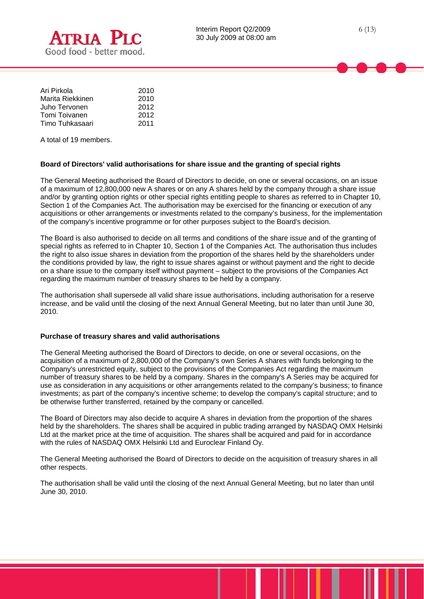



6 (13)

| Ari Pirkola      | 2010 |
|------------------|------|
| Marita Riekkinen | 2010 |
| Juho Tervonen    | 2012 |
| Tomi Toivanen    | 2012 |
| Timo Tuhkasaari  | 2011 |

A total of 19 members.

 $\overline{a}$ 

## **Board of Directors' valid authorisations for share issue and the granting of special rights**

The General Meeting authorised the Board of Directors to decide, on one or several occasions, on an issue of a maximum of 12,800,000 new A shares or on any A shares held by the company through a share issue and/or by granting option rights or other special rights entitling people to shares as referred to in Chapter 10, Section 1 of the Companies Act. The authorisation may be exercised for the financing or execution of any acquisitions or other arrangements or investments related to the company's business, for the implementation of the company's incentive programme or for other purposes subject to the Board's decision.

The Board is also authorised to decide on all terms and conditions of the share issue and of the granting of special rights as referred to in Chapter 10, Section 1 of the Companies Act. The authorisation thus includes the right to also issue shares in deviation from the proportion of the shares held by the shareholders under the conditions provided by law, the right to issue shares against or without payment and the right to decide on a share issue to the company itself without payment – subject to the provisions of the Companies Act regarding the maximum number of treasury shares to be held by a company.

The authorisation shall supersede all valid share issue authorisations, including authorisation for a reserve increase, and be valid until the closing of the next Annual General Meeting, but no later than until June 30, 2010.

## **Purchase of treasury shares and valid authorisations**

The General Meeting authorised the Board of Directors to decide, on one or several occasions, on the acquisition of a maximum of 2,800,000 of the Company's own Series A shares with funds belonging to the Company's unrestricted equity, subject to the provisions of the Companies Act regarding the maximum number of treasury shares to be held by a company. Shares in the company's A Series may be acquired for use as consideration in any acquisitions or other arrangements related to the company's business; to finance investments; as part of the company's incentive scheme; to develop the company's capital structure; and to be otherwise further transferred, retained by the company or cancelled.

The Board of Directors may also decide to acquire A shares in deviation from the proportion of the shares held by the shareholders. The shares shall be acquired in public trading arranged by NASDAQ OMX Helsinki Ltd at the market price at the time of acquisition. The shares shall be acquired and paid for in accordance with the rules of NASDAQ OMX Helsinki Ltd and Euroclear Finland Oy.

The General Meeting authorised the Board of Directors to decide on the acquisition of treasury shares in all other respects.

The authorisation shall be valid until the closing of the next Annual General Meeting, but no later than until June 30, 2010.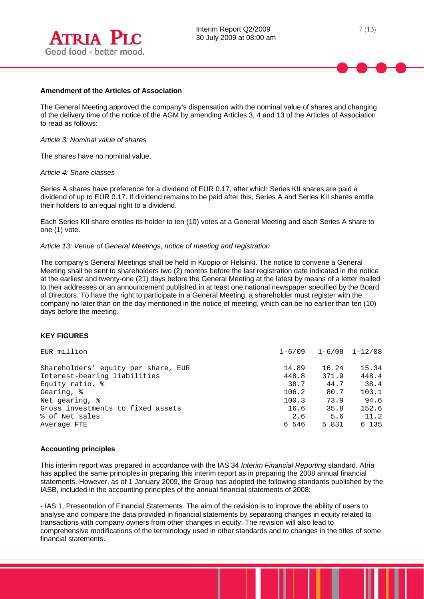

## **Amendment of the Articles of Association**

The General Meeting approved the company's dispensation with the nominal value of shares and changing of the delivery time of the notice of the AGM by amending Articles 3, 4 and 13 of the Articles of Association to read as follows:

#### *Article 3: Nominal value of shares*

The shares have no nominal value.

#### *Article 4: Share classes*

Series A shares have preference for a dividend of EUR 0.17, after which Series KII shares are paid a dividend of up to EUR 0.17. If dividend remains to be paid after this, Series A and Series KII shares entitle their holders to an equal right to a dividend.

Each Series KII share entitles its holder to ten (10) votes at a General Meeting and each Series A share to one (1) vote.

#### *Article 13: Venue of General Meetings, notice of meeting and registration*

The company's General Meetings shall be held in Kuopio or Helsinki. The notice to convene a General Meeting shall be sent to shareholders two (2) months before the last registration date indicated in the notice at the earliest and twenty-one (21) days before the General Meeting at the latest by means of a letter mailed to their addresses or an announcement published in at least one national newspaper specified by the Board of Directors. To have the right to participate in a General Meeting, a shareholder must register with the company no later than on the day mentioned in the notice of meeting, which can be no earlier than ten (10) days before the meeting.

#### **KEY FIGURES**

| EUR million                         |       | $1-6/09$ $1-6/08$ $1-12/08$ |       |
|-------------------------------------|-------|-----------------------------|-------|
| Shareholders' equity per share, EUR | 14.89 | 16.24                       | 15.34 |
| Interest-bearing liabilities        | 448.8 | 371.9                       | 448.4 |
| Equity ratio, %                     | 38.7  | 44.7                        | 38.4  |
| Gearing, %                          | 106.2 | 80.7                        | 103.1 |
| Net gearing, %                      | 100.3 | 73.9                        | 94.6  |
| Gross investments to fixed assets   | 16.6  | 35.8                        | 152.6 |
| % of Net sales                      | 2.6   | 5.6                         | 11.2  |
| Average FTE                         | 6 546 | 5 831                       | 6 135 |

#### **Accounting principles**

This interim report was prepared in accordance with the IAS 34 *Interim Financial Reporting* standard. Atria has applied the same principles in preparing this interim report as in preparing the 2008 annual financial statements. However, as of 1 January 2009, the Group has adopted the following standards published by the IASB, included in the accounting principles of the annual financial statements of 2008:

- IAS 1, Presentation of Financial Statements. The aim of the revision is to improve the ability of users to analyse and compare the data provided in financial statements by separating changes in equity related to transactions with company owners from other changes in equity. The revision will also lead to comprehensive modifications of the terminology used in other standards and to changes in the titles of some financial statements.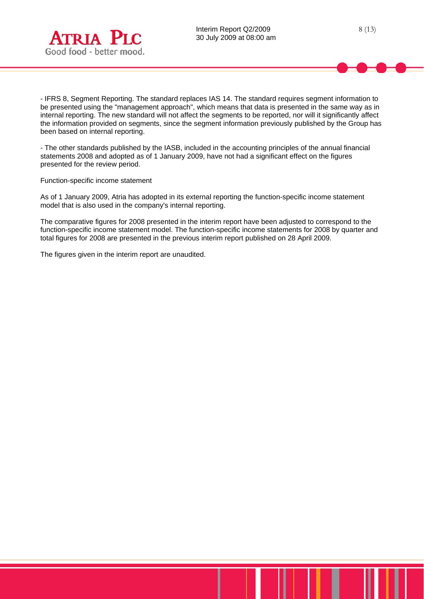- IFRS 8, Segment Reporting. The standard replaces IAS 14. The standard requires segment information to be presented using the "management approach", which means that data is presented in the same way as in internal reporting. The new standard will not affect the segments to be reported, nor will it significantly affect the information provided on segments, since the segment information previously published by the Group has been based on internal reporting.

- The other standards published by the IASB, included in the accounting principles of the annual financial statements 2008 and adopted as of 1 January 2009, have not had a significant effect on the figures presented for the review period.

Function-specific income statement

 $\overline{a}$ 

As of 1 January 2009, Atria has adopted in its external reporting the function-specific income statement model that is also used in the company's internal reporting.

The comparative figures for 2008 presented in the interim report have been adjusted to correspond to the function-specific income statement model. The function-specific income statements for 2008 by quarter and total figures for 2008 are presented in the previous interim report published on 28 April 2009.

The figures given in the interim report are unaudited.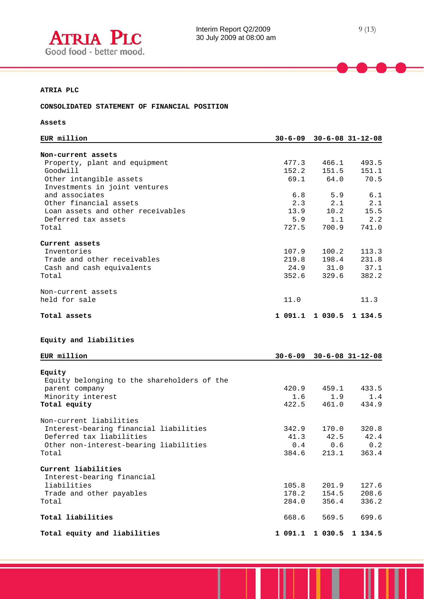

## **ATRIA PLC**

## **CONSOLIDATED STATEMENT OF FINANCIAL POSITION**

## **Assets**

 $\overline{a}$ 

| EUR million                                                       | $30 - 6 - 09$ |             | $30 - 6 - 08$ $31 - 12 - 08$   |
|-------------------------------------------------------------------|---------------|-------------|--------------------------------|
|                                                                   |               |             |                                |
| Non-current assets                                                |               |             |                                |
| Property, plant and equipment                                     | 477.3         | 466.1       | 493.5                          |
| Goodwill                                                          | 152.2         | 151.5       | 151.1                          |
| Other intangible assets                                           | 69.1          | 64.0        | 70.5                           |
| Investments in joint ventures                                     |               |             |                                |
| and associates                                                    | 6.8           | 5.9         | 6.1                            |
| Other financial assets<br>Loan assets and other receivables       | 2.3<br>13.9   | 2.1<br>10.2 | 2.1<br>15.5                    |
| Deferred tax assets                                               | 5.9           | 1.1         | 2.2                            |
| Total                                                             | 727.5         | 700.9       | 741.0                          |
|                                                                   |               |             |                                |
| Current assets                                                    |               |             |                                |
| Inventories                                                       | 107.9         | 100.2       | 113.3                          |
| Trade and other receivables                                       | 219.8         | 198.4       | 231.8                          |
| Cash and cash equivalents                                         | 24.9          | 31.0        | 37.1                           |
| Total                                                             | 352.6         | 329.6       | 382.2                          |
|                                                                   |               |             |                                |
| Non-current assets<br>held for sale                               | 11.0          |             | 11.3                           |
|                                                                   |               |             |                                |
| Total assets                                                      |               |             | 1 091.1 1 030.5 1 134.5        |
| Equity and liabilities                                            |               |             |                                |
| EUR million                                                       |               |             | $30-6-09$ $30-6-08$ $31-12-08$ |
|                                                                   |               |             |                                |
| Equity                                                            |               |             |                                |
| Equity belonging to the shareholders of the                       |               |             |                                |
| parent company                                                    | 420.9         | 459.1       | 433.5                          |
| Minority interest                                                 | 1.6           | 1.9         | 1.4                            |
| Total equity                                                      | 422.5         | 461.0       | 434.9                          |
|                                                                   |               |             |                                |
| Non-current liabilities<br>Interest-bearing financial liabilities | 342.9         | 170.0       | 320.8                          |
| Deferred tax liabilities                                          | 41.3          | 42.5        | 42.4                           |
| Other non-interest-bearing liabilities                            | 0.4           | 0.6         | 0.2                            |
| Total                                                             | 384.6         | 213.1       | 363.4                          |
|                                                                   |               |             |                                |
| Current liabilities                                               |               |             |                                |
| Interest-bearing financial                                        |               |             |                                |
| liabilities                                                       | 105.8         | 201.9       | 127.6                          |
| Trade and other payables                                          | 178.2         | 154.5       | 208.6                          |
| Total                                                             | 284.0         | 356.4       | 336.2                          |
| Total liabilities                                                 | 668.6         | 569.5       | 699.6                          |
| Total equity and liabilities                                      |               |             | 1 091.1 1 030.5 1 134.5        |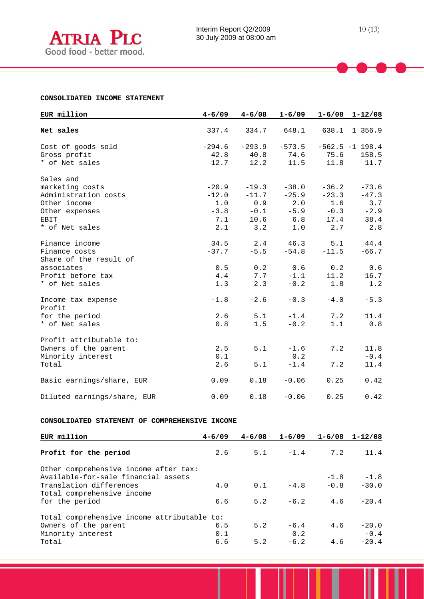## **CONSOLIDATED INCOME STATEMENT**

| EUR million                 | $4 - 6/09$ | $4 - 6/08$ | $1 - 6/09$ | $1 - 6/08$ | $1 - 12/08$       |
|-----------------------------|------------|------------|------------|------------|-------------------|
| Net sales                   | 337.4      | 334.7      | 648.1      | 638.1      | 1 356.9           |
| Cost of goods sold          | $-294.6$   | $-293.9$   | $-573.5$   |            | $-562.5 -1 198.4$ |
| Gross profit                | 42.8       | 40.8       | 74.6       | 75.6       | 158.5             |
| * of Net sales              | 12.7       | 12.2       | 11.5       | 11.8       | 11.7              |
| Sales and                   |            |            |            |            |                   |
| marketing costs             | $-20.9$    | $-19.3$    | $-38.0$    | $-36.2$    | $-73.6$           |
| Administration costs        | $-12.0$    | $-11.7$    | $-25.9$    | $-23.3$    | $-47.3$           |
| Other income                | 1.0        | 0.9        | 2.0        | 1.6        | 3.7               |
| Other expenses              | $-3.8$     | $-0.1$     | $-5.9$     | $-0.3$     | $-2.9$            |
| EBIT                        | 7.1        | 10.6       | 6.8        | 17.4       | 38.4              |
| * of Net sales              | 2.1        | 3.2        | 1.0        | 2.7        | 2.8               |
| Finance income              | 34.5       | 2.4        | 46.3       | 5.1        | 44.4              |
| Finance costs               | $-37.7$    | $-5.5$     | $-54.8$    | $-11.5$    | $-66.7$           |
| Share of the result of      |            |            |            |            |                   |
| associates                  | 0.5        | 0.2        | 0.6        | 0.2        | 0.6               |
| Profit before tax           | 4.4        | 7.7        | $-1.1$     | 11.2       | 16.7              |
| * of Net sales              | 1.3        | 2.3        | $-0.2$     | 1.8        | 1.2               |
| Income tax expense          | $-1.8$     | $-2.6$     | $-0.3$     | $-4.0$     | $-5.3$            |
| Profit                      |            |            |            |            |                   |
| for the period              | 2.6        | 5.1        | $-1.4$     | 7.2        | 11.4              |
| * of Net sales              | 0.8        | 1.5        | $-0.2$     | 1.1        | 0.8               |
| Profit attributable to:     |            |            |            |            |                   |
| Owners of the parent        | 2.5        | 5.1        | $-1.6$     | 7.2        | 11.8              |
| Minority interest           | 0.1        |            | 0.2        |            | $-0.4$            |
| Total                       | 2.6        | 5.1        | $-1.4$     | 7.2        | 11.4              |
| Basic earnings/share, EUR   | 0.09       | 0.18       | $-0.06$    | 0.25       | 0.42              |
| Diluted earnings/share, EUR | 0.09       | 0.18       | $-0.06$    | 0.25       | 0.42              |

#### **CONSOLIDATED STATEMENT OF COMPREHENSIVE INCOME**

| EUR million                                 | $4 - 6/09$ | $4 - 6/08$ | $1 - 6/09$ | $1 - 6/08$ | $1 - 12/08$ |
|---------------------------------------------|------------|------------|------------|------------|-------------|
| Profit for the period                       | 2.6        | 5.1        | $-1.4$     | 7.2        | 11.4        |
| Other comprehensive income after tax:       |            |            |            |            |             |
| Available-for-sale financial assets         |            |            |            | $-1.8$     | $-1.8$      |
| Translation differences                     | 4.0        | 0.1        | $-4.8$     | $-0.8$     | $-30.0$     |
| Total comprehensive income                  |            |            |            |            |             |
| for the period                              | 6.6        | 5.2        | $-6.2$     | 4.6        | $-20.4$     |
| Total comprehensive income attributable to: |            |            |            |            |             |
| Owners of the parent                        | 6.5        | 5.2        | $-6.4$     | 4.6        | $-20.0$     |
| Minority interest                           | 0.1        |            | 0.2        |            | $-0.4$      |
| Total                                       | 6.6        | 5.2        | $-6.2$     | 4.6        | $-20.4$     |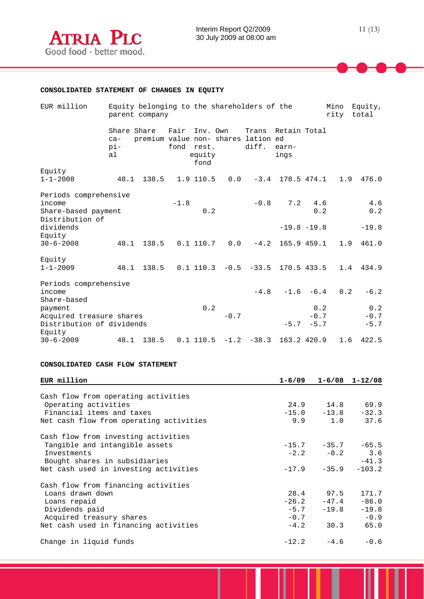

| EUR million                                                                | Equity belonging to the shareholders of the<br>Mino<br>rity<br>parent company |                                     |                    |                            |        |                                        | Equity,<br>total                    |                         |     |                         |
|----------------------------------------------------------------------------|-------------------------------------------------------------------------------|-------------------------------------|--------------------|----------------------------|--------|----------------------------------------|-------------------------------------|-------------------------|-----|-------------------------|
| Equity                                                                     | Share Share<br>$ca-$<br>pi-<br>a <sub>1</sub>                                 | premium value non- shares lation ed | Fair<br>fond rest. | Inv. Own<br>equity<br>fond |        | diff.                                  | Trans Retain Total<br>earn-<br>ings |                         |     |                         |
| $1 - 1 - 2008$                                                             | 48.1                                                                          | 138.5                               |                    |                            |        | $1.9$ 110.5 0.0 -3.4 178.5 474.1       |                                     |                         | 1.9 | 476.0                   |
| Periods comprehensive<br>income<br>Share-based payment<br>Distribution of  |                                                                               |                                     | $-1.8$             | 0.2                        |        | $-0.8$                                 | 7.2                                 | 4.6<br>0.2              |     | 4.6<br>0.2              |
| dividends<br>Equity                                                        |                                                                               |                                     |                    |                            |        |                                        | $-19.8 -19.8$                       |                         |     | $-19.8$                 |
| $30 - 6 - 2008$                                                            |                                                                               | 48.1 138.5                          |                    |                            |        | $0.1$ 110.7 $0.0$ -4.2 165.9 459.1     |                                     |                         | 1.9 | 461.0                   |
| Equity<br>$1 - 1 - 2009$                                                   |                                                                               | 48.1 138.5                          |                    |                            |        | $0.1$ 110.3 $-0.5$ $-33.5$ 170.5 433.5 |                                     |                         |     | 1.4 434.9               |
| Periods comprehensive<br>income<br>Share-based                             |                                                                               |                                     |                    |                            |        |                                        | $-4.8$ $-1.6$ $-6.4$                |                         | 0.2 | $-6.2$                  |
| payment<br>Acquired treasure shares<br>Distribution of dividends<br>Equity |                                                                               |                                     |                    | 0.2                        | $-0.7$ |                                        | $-5.7$                              | 0.2<br>$-0.7$<br>$-5.7$ |     | 0.2<br>$-0.7$<br>$-5.7$ |
| $30 - 6 - 2009$                                                            |                                                                               | 48.1 138.5                          |                    |                            |        | $0.1$ 110.5 $-1.2$ $-38.3$ 163.2 420.9 |                                     |                         | 1.6 | 422.5                   |

## **CONSOLIDATED CASH FLOW STATEMENT**

| EUR million                             | $1 - 6/09$ |                         | $1-6/08$ $1-12/08$ |
|-----------------------------------------|------------|-------------------------|--------------------|
| Cash flow from operating activities     |            |                         |                    |
| Operating activities                    |            | 24.9 14.8 69.9          |                    |
| Financial items and taxes               |            | $-15.0 -13.8$           | $-32.3$            |
| Net cash flow from operating activities |            |                         | 9.9 1.0 37.6       |
| Cash flow from investing activities     |            |                         |                    |
| Tangible and intangible assets          |            | $-15.7$ $-35.7$ $-65.5$ |                    |
| Investments                             |            |                         | $-2.2 -0.2$ 3.6    |
| Bought shares in subsidiaries           |            |                         | $-41.3$            |
| Net cash used in investing activities   |            | $-17.9 -35.9$           | $-103.2$           |
| Cash flow from financing activities     |            |                         |                    |
| Loans drawn down                        |            | 28.4 97.5               | 171.7              |
| Loans repaid                            |            | $-26.2 -47.4$           | $-86.0$            |
| Dividends paid                          | $-5.7$     | $-19.8$                 | $-19.8$            |
| Acquired treasury shares                | $-0.7$     |                         | $-0.9$             |
| Net cash used in financing activities   | $-4.2$     | 30.3                    | 65.0               |
| Change in liquid funds                  |            |                         | $-12.2 -4.6 -0.6$  |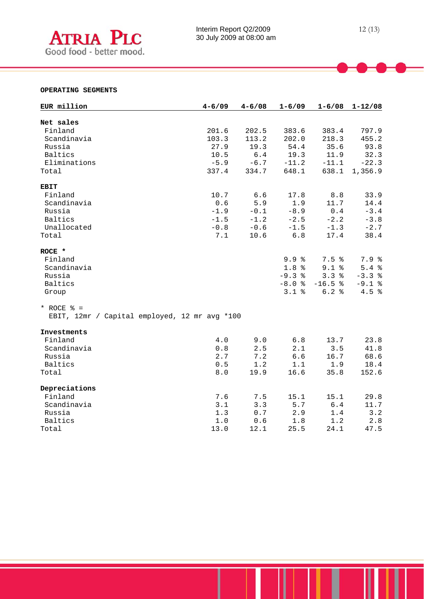

## **OPERATING SEGMENTS**

 $\overline{a}$ 

| EUR million                                   | $4 - 6/09$ | $4 - 6/08$ | $1 - 6/09$       | $1 - 6/08$ | $1 - 12/08$ |
|-----------------------------------------------|------------|------------|------------------|------------|-------------|
| Net sales                                     |            |            |                  |            |             |
| Finland                                       | 201.6      | 202.5      | 383.6            | 383.4      | 797.9       |
| Scandinavia                                   | 103.3      | 113.2      | 202.0            | 218.3      | 455.2       |
| Russia                                        | 27.9       | 19.3       | 54.4             | 35.6       | 93.8        |
| Baltics                                       | 10.5       | 6.4        | 19.3             | 11.9       | 32.3        |
| Eliminations                                  | $-5.9$     | $-6.7$     | $-11.2$          | $-11.1$    | $-22.3$     |
| Total                                         | 337.4      | 334.7      | 648.1            | 638.1      | 1,356.9     |
| <b>EBIT</b>                                   |            |            |                  |            |             |
| Finland                                       | 10.7       | 6.6        | 17.8             | 8.8        | 33.9        |
| Scandinavia                                   | 0.6        | 5.9        | 1.9              | 11.7       | 14.4        |
| Russia                                        | $-1.9$     | $-0.1$     | $-8.9$           | 0.4        | $-3.4$      |
| <b>Baltics</b>                                | $-1.5$     | $-1.2$     | $-2.5$           | $-2.2$     | $-3.8$      |
| Unallocated                                   | $-0.8$     | $-0.6$     | $-1.5$           | $-1.3$     | $-2.7$      |
| Total                                         | 7.1        | 10.6       | $6.8$            | 17.4       | 38.4        |
| ROCE *                                        |            |            |                  |            |             |
| Finland                                       |            |            | 9.9%             | 7.5%       | 7.9%        |
| Scandinavia                                   |            |            | 1.8 <sup>8</sup> | $9.1$ %    | 5.4%        |
| Russia                                        |            |            | $-9.3%$          | 3.3%       | $-3.3%$     |
| Baltics                                       |            |            | $-8.0$ %         | $-16.5%$   | $-9.1$ %    |
| Group                                         |            |            | 3.1%             | 6.2%       | 4.5%        |
| * ROCE $% =$                                  |            |            |                  |            |             |
| EBIT, 12mr / Capital employed, 12 mr avg *100 |            |            |                  |            |             |
| Investments                                   |            |            |                  |            |             |
| Finland                                       | 4.0        | 9.0        | 6.8              | 13.7       | 23.8        |
| Scandinavia                                   | 0.8        | 2.5        | 2.1              | 3.5        | 41.8        |
| Russia                                        | 2.7        | 7.2        | 6.6              | 16.7       | 68.6        |
| Baltics                                       | 0.5        | 1.2        | 1.1              | 1.9        | 18.4        |
| Total                                         | $8.0$      | 19.9       | 16.6             | 35.8       | 152.6       |
| Depreciations                                 |            |            |                  |            |             |
| Finland                                       | 7.6        | 7.5        | 15.1             | 15.1       | 29.8        |
| Scandinavia                                   | 3.1        | 3.3        | 5.7              | $6.4$      | 11.7        |
| Russia                                        | 1.3        | 0.7        | 2.9              | 1.4        | 3.2         |
| Baltics                                       | 1.0        | 0.6        | 1.8              | 1.2        | 2.8         |
| Total                                         | 13.0       | 12.1       | 25.5             | 24.1       | 47.5        |